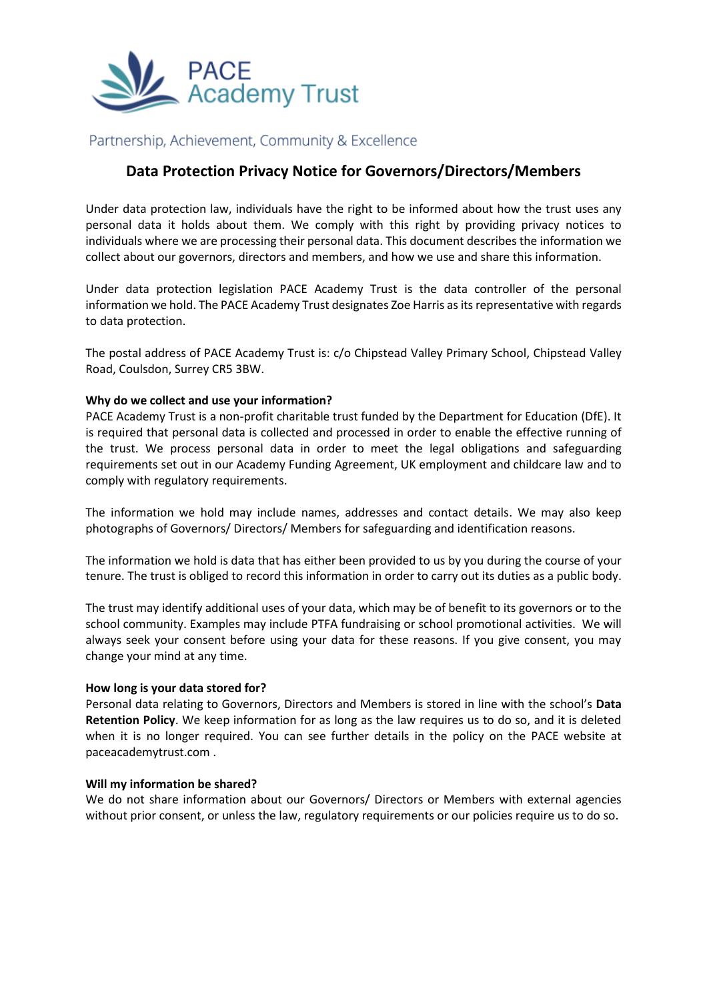

# Partnership, Achievement, Community & Excellence

# **Data Protection Privacy Notice for Governors/Directors/Members**

Under data protection law, individuals have the right to be informed about how the trust uses any personal data it holds about them. We comply with this right by providing privacy notices to individuals where we are processing their personal data. This document describes the information we collect about our governors, directors and members, and how we use and share this information.

Under data protection legislation PACE Academy Trust is the data controller of the personal information we hold. The PACE Academy Trust designates Zoe Harris as its representative with regards to data protection.

The postal address of PACE Academy Trust is: c/o Chipstead Valley Primary School, Chipstead Valley Road, Coulsdon, Surrey CR5 3BW.

## **Why do we collect and use your information?**

PACE Academy Trust is a non-profit charitable trust funded by the Department for Education (DfE). It is required that personal data is collected and processed in order to enable the effective running of the trust. We process personal data in order to meet the legal obligations and safeguarding requirements set out in our Academy Funding Agreement, UK employment and childcare law and to comply with regulatory requirements.

The information we hold may include names, addresses and contact details. We may also keep photographs of Governors/ Directors/ Members for safeguarding and identification reasons.

The information we hold is data that has either been provided to us by you during the course of your tenure. The trust is obliged to record this information in order to carry out its duties as a public body.

The trust may identify additional uses of your data, which may be of benefit to its governors or to the school community. Examples may include PTFA fundraising or school promotional activities. We will always seek your consent before using your data for these reasons. If you give consent, you may change your mind at any time.

## **How long is your data stored for?**

Personal data relating to Governors, Directors and Members is stored in line with the school's **Data Retention Policy**. We keep information for as long as the law requires us to do so, and it is deleted when it is no longer required. You can see further details in the policy on the PACE website at paceacademytrust.com .

#### **Will my information be shared?**

We do not share information about our Governors/ Directors or Members with external agencies without prior consent, or unless the law, regulatory requirements or our policies require us to do so.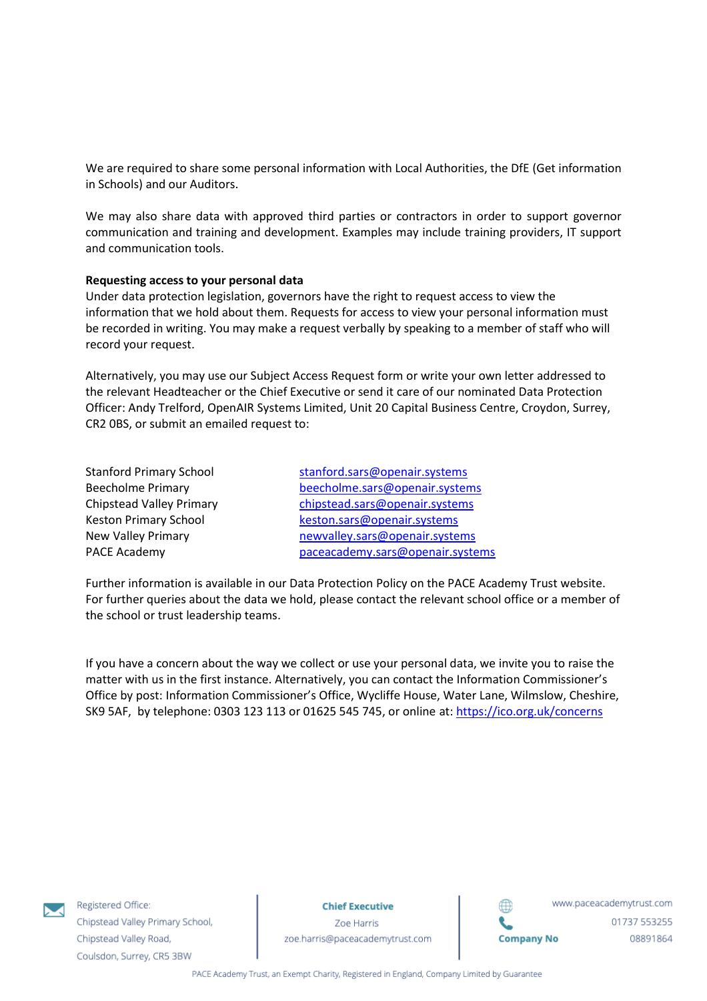We are required to share some personal information with Local Authorities, the DfE (Get information in Schools) and our Auditors.

We may also share data with approved third parties or contractors in order to support governor communication and training and development. Examples may include training providers, IT support and communication tools.

### **Requesting access to your personal data**

Under data protection legislation, governors have the right to request access to view the information that we hold about them. Requests for access to view your personal information must be recorded in writing. You may make a request verbally by speaking to a member of staff who will record your request.

Alternatively, you may use our Subject Access Request form or write your own letter addressed to the relevant Headteacher or the Chief Executive or send it care of our nominated Data Protection Officer: Andy Trelford, OpenAIR Systems Limited, Unit 20 Capital Business Centre, Croydon, Surrey, CR2 0BS, or submit an emailed request to:

| <b>Stanford Primary School</b>  | stanford.sars@openair.systems    |
|---------------------------------|----------------------------------|
| <b>Beecholme Primary</b>        | beecholme.sars@openair.systems   |
| <b>Chipstead Valley Primary</b> | chipstead.sars@openair.systems   |
| <b>Keston Primary School</b>    | keston.sars@openair.systems      |
| <b>New Valley Primary</b>       | newvalley.sars@openair.systems   |
| <b>PACE Academy</b>             | paceacademy.sars@openair.systems |
|                                 |                                  |

Further information is available in our Data Protection Policy on the PACE Academy Trust website. For further queries about the data we hold, please contact the relevant school office or a member of the school or trust leadership teams.

If you have a concern about the way we collect or use your personal data, we invite you to raise the matter with us in the first instance. Alternatively, you can contact the Information Commissioner's Office by post: Information Commissioner's Office, Wycliffe House, Water Lane, Wilmslow, Cheshire, SK9 5AF, by telephone: 0303 123 113 or 01625 545 745, or online at[: https://ico.org.uk/concerns](https://ico.org.uk/concerns)



Registered Office: Chipstead Valley Primary School, Chipstead Valley Road, Coulsdon, Surrey, CR5 3BW

**Chief Executive** 

Zoe Harris zoe.harris@paceacademytrust.com



www.paceacademytrust.com 01737 553255 08891864